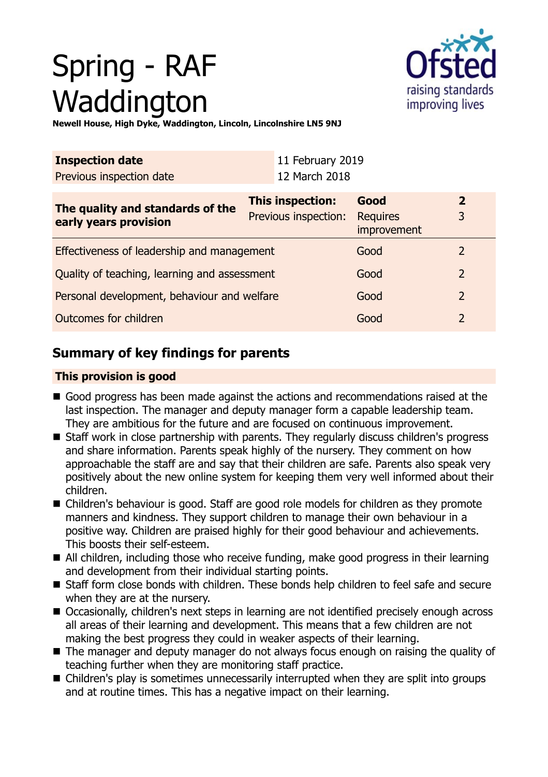# Spring - RAF Waddington



**Newell House, High Dyke, Waddington, Lincoln, Lincolnshire LN5 9NJ**

| <b>Inspection date</b>                                    |                  | 11 February 2019     |                         |                |  |
|-----------------------------------------------------------|------------------|----------------------|-------------------------|----------------|--|
| Previous inspection date                                  |                  | 12 March 2018        |                         |                |  |
| The quality and standards of the<br>early years provision | This inspection: |                      | Good                    | 2              |  |
|                                                           |                  | Previous inspection: | Requires<br>improvement | 3              |  |
| Effectiveness of leadership and management                |                  |                      | Good                    | $\overline{2}$ |  |
| Quality of teaching, learning and assessment              |                  |                      | Good                    | $\overline{2}$ |  |
| Personal development, behaviour and welfare               |                  |                      | Good                    | 2              |  |
| Outcomes for children                                     |                  |                      | Good                    | $\overline{2}$ |  |

## **Summary of key findings for parents**

## **This provision is good**

- Good progress has been made against the actions and recommendations raised at the last inspection. The manager and deputy manager form a capable leadership team. They are ambitious for the future and are focused on continuous improvement.
- Staff work in close partnership with parents. They regularly discuss children's progress and share information. Parents speak highly of the nursery. They comment on how approachable the staff are and say that their children are safe. Parents also speak very positively about the new online system for keeping them very well informed about their children.
- Children's behaviour is good. Staff are good role models for children as they promote manners and kindness. They support children to manage their own behaviour in a positive way. Children are praised highly for their good behaviour and achievements. This boosts their self-esteem.
- All children, including those who receive funding, make good progress in their learning and development from their individual starting points.
- Staff form close bonds with children. These bonds help children to feel safe and secure when they are at the nursery.
- Occasionally, children's next steps in learning are not identified precisely enough across all areas of their learning and development. This means that a few children are not making the best progress they could in weaker aspects of their learning.
- $\blacksquare$  The manager and deputy manager do not always focus enough on raising the quality of teaching further when they are monitoring staff practice.
- $\blacksquare$  Children's play is sometimes unnecessarily interrupted when they are split into groups and at routine times. This has a negative impact on their learning.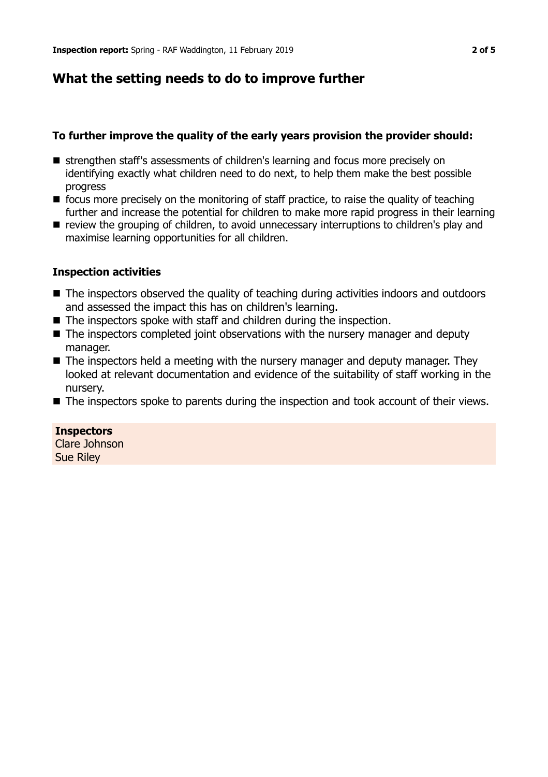## **What the setting needs to do to improve further**

## **To further improve the quality of the early years provision the provider should:**

- **E** strengthen staff's assessments of children's learning and focus more precisely on identifying exactly what children need to do next, to help them make the best possible progress
- $\blacksquare$  focus more precisely on the monitoring of staff practice, to raise the quality of teaching further and increase the potential for children to make more rapid progress in their learning
- $\blacksquare$  review the grouping of children, to avoid unnecessary interruptions to children's play and maximise learning opportunities for all children.

## **Inspection activities**

- The inspectors observed the quality of teaching during activities indoors and outdoors and assessed the impact this has on children's learning.
- $\blacksquare$  The inspectors spoke with staff and children during the inspection.
- $\blacksquare$  The inspectors completed joint observations with the nursery manager and deputy manager.
- $\blacksquare$  The inspectors held a meeting with the nursery manager and deputy manager. They looked at relevant documentation and evidence of the suitability of staff working in the nursery.
- The inspectors spoke to parents during the inspection and took account of their views.

### **Inspectors**

Clare Johnson Sue Riley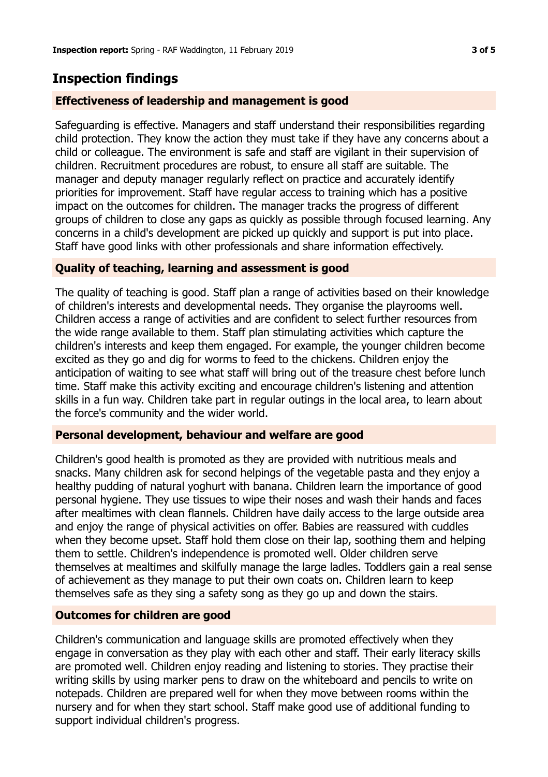## **Inspection findings**

### **Effectiveness of leadership and management is good**

Safeguarding is effective. Managers and staff understand their responsibilities regarding child protection. They know the action they must take if they have any concerns about a child or colleague. The environment is safe and staff are vigilant in their supervision of children. Recruitment procedures are robust, to ensure all staff are suitable. The manager and deputy manager regularly reflect on practice and accurately identify priorities for improvement. Staff have regular access to training which has a positive impact on the outcomes for children. The manager tracks the progress of different groups of children to close any gaps as quickly as possible through focused learning. Any concerns in a child's development are picked up quickly and support is put into place. Staff have good links with other professionals and share information effectively.

### **Quality of teaching, learning and assessment is good**

The quality of teaching is good. Staff plan a range of activities based on their knowledge of children's interests and developmental needs. They organise the playrooms well. Children access a range of activities and are confident to select further resources from the wide range available to them. Staff plan stimulating activities which capture the children's interests and keep them engaged. For example, the younger children become excited as they go and dig for worms to feed to the chickens. Children enjoy the anticipation of waiting to see what staff will bring out of the treasure chest before lunch time. Staff make this activity exciting and encourage children's listening and attention skills in a fun way. Children take part in regular outings in the local area, to learn about the force's community and the wider world.

#### **Personal development, behaviour and welfare are good**

Children's good health is promoted as they are provided with nutritious meals and snacks. Many children ask for second helpings of the vegetable pasta and they enjoy a healthy pudding of natural yoghurt with banana. Children learn the importance of good personal hygiene. They use tissues to wipe their noses and wash their hands and faces after mealtimes with clean flannels. Children have daily access to the large outside area and enjoy the range of physical activities on offer. Babies are reassured with cuddles when they become upset. Staff hold them close on their lap, soothing them and helping them to settle. Children's independence is promoted well. Older children serve themselves at mealtimes and skilfully manage the large ladles. Toddlers gain a real sense of achievement as they manage to put their own coats on. Children learn to keep themselves safe as they sing a safety song as they go up and down the stairs.

### **Outcomes for children are good**

Children's communication and language skills are promoted effectively when they engage in conversation as they play with each other and staff. Their early literacy skills are promoted well. Children enjoy reading and listening to stories. They practise their writing skills by using marker pens to draw on the whiteboard and pencils to write on notepads. Children are prepared well for when they move between rooms within the nursery and for when they start school. Staff make good use of additional funding to support individual children's progress.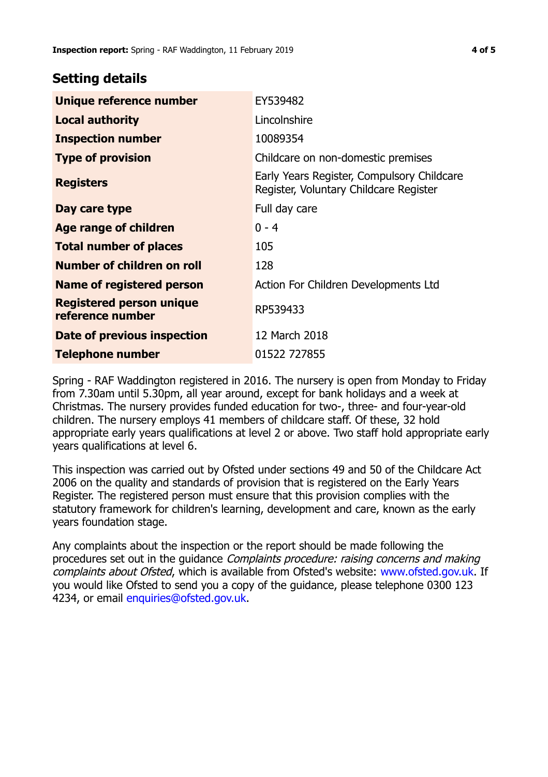## **Setting details**

| Unique reference number                             | EY539482                                                                             |  |
|-----------------------------------------------------|--------------------------------------------------------------------------------------|--|
| <b>Local authority</b>                              | Lincolnshire                                                                         |  |
| <b>Inspection number</b>                            | 10089354                                                                             |  |
| <b>Type of provision</b>                            | Childcare on non-domestic premises                                                   |  |
| <b>Registers</b>                                    | Early Years Register, Compulsory Childcare<br>Register, Voluntary Childcare Register |  |
| Day care type                                       | Full day care                                                                        |  |
| <b>Age range of children</b>                        | $0 - 4$                                                                              |  |
| <b>Total number of places</b>                       | 105                                                                                  |  |
| Number of children on roll                          | 128                                                                                  |  |
| Name of registered person                           | Action For Children Developments Ltd                                                 |  |
| <b>Registered person unique</b><br>reference number | RP539433                                                                             |  |
| Date of previous inspection                         | 12 March 2018                                                                        |  |
| <b>Telephone number</b>                             | 01522 727855                                                                         |  |

Spring - RAF Waddington registered in 2016. The nursery is open from Monday to Friday from 7.30am until 5.30pm, all year around, except for bank holidays and a week at Christmas. The nursery provides funded education for two-, three- and four-year-old children. The nursery employs 41 members of childcare staff. Of these, 32 hold appropriate early years qualifications at level 2 or above. Two staff hold appropriate early years qualifications at level 6.

This inspection was carried out by Ofsted under sections 49 and 50 of the Childcare Act 2006 on the quality and standards of provision that is registered on the Early Years Register. The registered person must ensure that this provision complies with the statutory framework for children's learning, development and care, known as the early years foundation stage.

Any complaints about the inspection or the report should be made following the procedures set out in the guidance Complaints procedure: raising concerns and making complaints about Ofsted, which is available from Ofsted's website: www.ofsted.gov.uk. If you would like Ofsted to send you a copy of the guidance, please telephone 0300 123 4234, or email [enquiries@ofsted.gov.uk.](mailto:enquiries@ofsted.gov.uk)